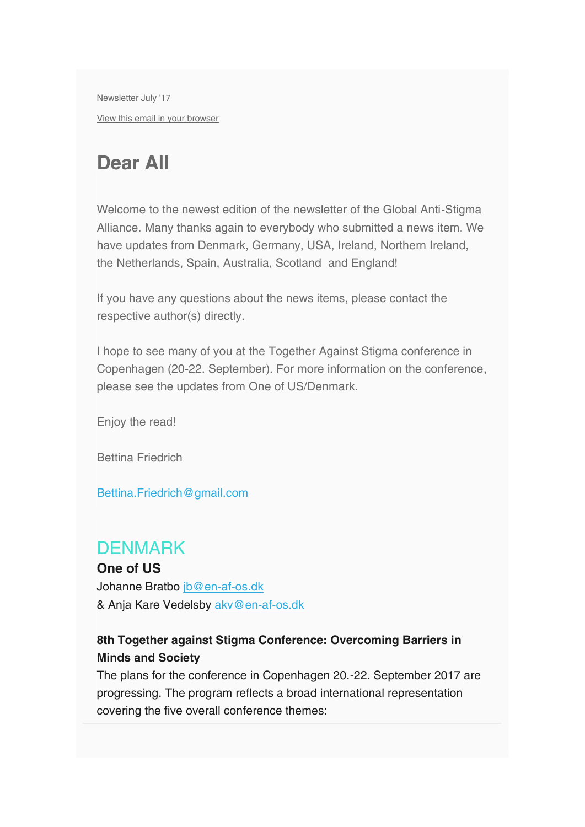Newsletter July '17 View this email in your browser

# Dear All

 Welcome to the newest edition of the newsletter of the Global Anti-Stigma Alliance. Many thanks again to everybody who submitted a news item. We have updates from Denmark, Germany, USA, Ireland, Northern Ireland, the Netherlands, Spain, Australia, Scotland and England!

If you have any questions about the news items, please contact the respective author(s) directly.

I hope to see many of you at the Together Against Stigma conference in Copenhagen (20-22. September). For more information on the conference, please see the updates from One of US/Denmark.

Enjoy the read!

Bettina Friedrich

Bettina.Friedrich@gmail.com

### **DENMARK**

One of US Johanne Bratbo jb@en-af-os.dk & Anja Kare Vedelsby akv@en-af-os.dk

#### 8th Together against Stigma Conference: Overcoming Barriers in Minds and Society

The plans for the conference in Copenhagen 20.-22. September 2017 are progressing. The program reflects a broad international representation covering the five overall conference themes: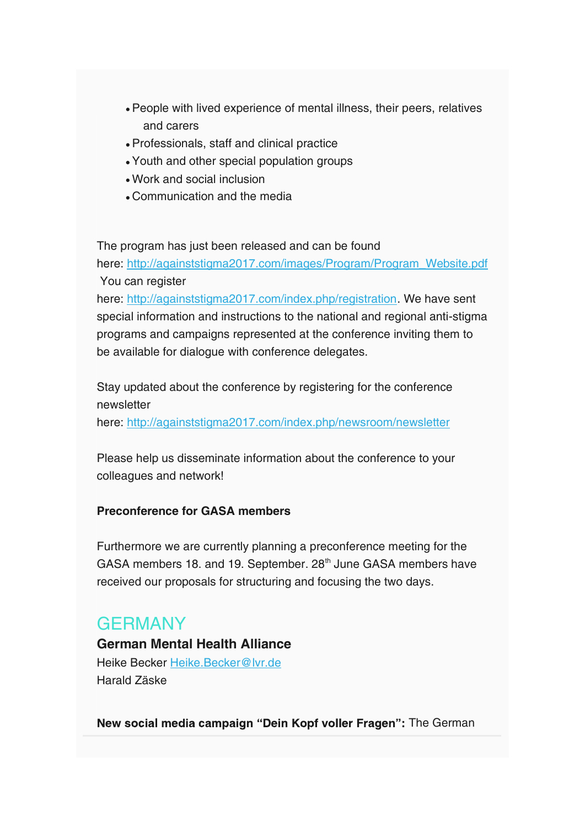- People with lived experience of mental illness, their peers, relatives and carers
- Professionals, staff and clinical practice
- Youth and other special population groups
- Work and social inclusion
- Communication and the media

The program has just been released and can be found

here: http://againststigma2017.com/images/Program/Program\_Website.pdf You can register

here: http://againststigma2017.com/index.php/registration. We have sent special information and instructions to the national and regional anti-stigma programs and campaigns represented at the conference inviting them to be available for dialogue with conference delegates.

 Stay updated about the conference by registering for the conference newsletter

here: http://againststigma2017.com/index.php/newsroom/newsletter

 Please help us disseminate information about the conference to your colleagues and network!

#### Preconference for GASA members

Furthermore we are currently planning a preconference meeting for the GASA members 18. and 19. September. 28<sup>th</sup> June GASA members have received our proposals for structuring and focusing the two days.

# **GERMANY**

German Mental Health Alliance Heike Becker Heike.Becker@lvr.de Harald Zäske

New social media campaign "Dein Kopf voller Fragen": The German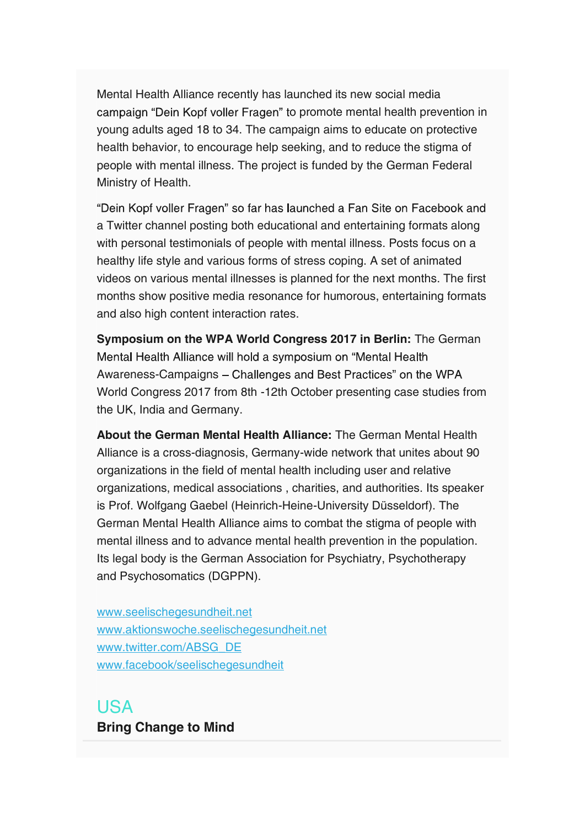Mental Health Alliance recently has launched its new social media campaign "Dein Kopf voller Fragen" to promote mental health prevention in young adults aged 18 to 34. The campaign aims to educate on protective health behavior, to encourage help seeking, and to reduce the stigma of people with mental illness. The project is funded by the German Federal Ministry of Health.

"Dein Kopf voller Fragen" so far has launched a Fan Site on Facebook and a Twitter channel posting both educational and entertaining formats along with personal testimonials of people with mental illness. Posts focus on a healthy life style and various forms of stress coping. A set of animated videos on various mental illnesses is planned for the next months. The first months show positive media resonance for humorous, entertaining formats and also high content interaction rates.

Symposium on the WPA World Congress 2017 in Berlin: The German Mental Health Alliance will hold a symposium on "Mental Health" Awareness-Campaigns – Challenges and Best Practices" on the WPA World Congress 2017 from 8th -12th October presenting case studies from the UK, India and Germany.

About the German Mental Health Alliance: The German Mental Health Alliance is a cross-diagnosis, Germany-wide network that unites about 90 organizations in the field of mental health including user and relative organizations, medical associations , charities, and authorities. Its speaker is Prof. Wolfgang Gaebel (Heinrich-Heine-University Düsseldorf). The German Mental Health Alliance aims to combat the stigma of people with mental illness and to advance mental health prevention in the population. Its legal body is the German Association for Psychiatry, Psychotherapy and Psychosomatics (DGPPN).

www.seelischegesundheit.net www.aktionswoche.seelischegesundheit.net www.twitter.com/ABSG\_DE www.facebook/seelischegesundheit

# USA

Bring Change to Mind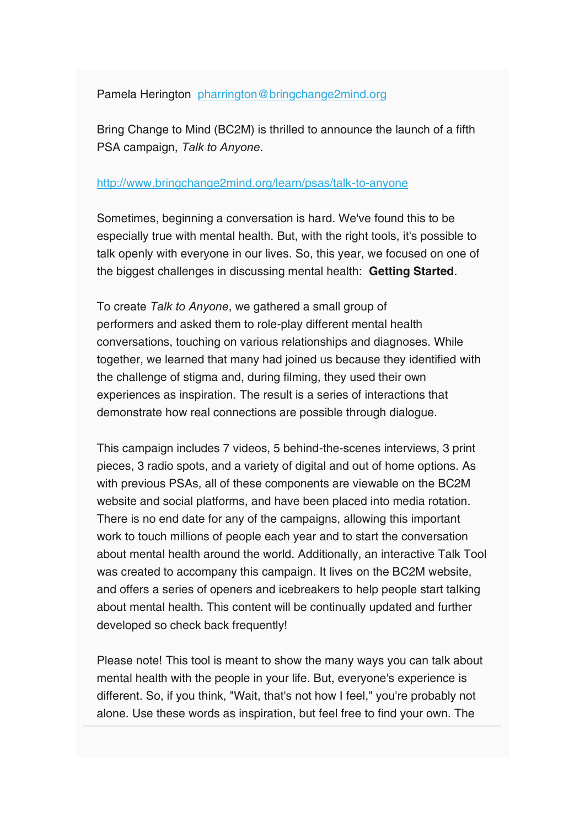Pamela Herington pharrington@bringchange2mind.org

Bring Change to Mind (BC2M) is thrilled to announce the launch of a fifth PSA campaign, Talk to Anyone.<br>http://www.bringchange2mind.org/learn/psas/talk-to-anyone

 Sometimes, beginning a conversation is hard. We've found this to be especially true with mental health. But, with the right tools, it's possible to talk openly with everyone in our lives. So, this year, we focused on one of the biggest challenges in discussing mental health: Getting Started.

 To create Talk to Anyone, we gathered a small group of performers and asked them to role-play different mental health conversations, touching on various relationships and diagnoses. While together, we learned that many had joined us because they identified with the challenge of stigma and, during filming, they used their own experiences as inspiration. The result is a series of interactions that demonstrate how real connections are possible through dialogue.

 This campaign includes 7 videos, 5 behind-the-scenes interviews, 3 print pieces, 3 radio spots, and a variety of digital and out of home options. As with previous PSAs, all of these components are viewable on the BC2M website and social platforms, and have been placed into media rotation. There is no end date for any of the campaigns, allowing this important work to touch millions of people each year and to start the conversation about mental health around the world. Additionally, an interactive Talk Tool was created to accompany this campaign. It lives on the BC2M website, and offers a series of openers and icebreakers to help people start talking about mental health. This content will be continually updated and further developed so check back frequently!

 Please note! This tool is meant to show the many ways you can talk about mental health with the people in your life. But, everyone's experience is different. So, if you think, "Wait, that's not how I feel," you're probably not alone. Use these words as inspiration, but feel free to find your own. The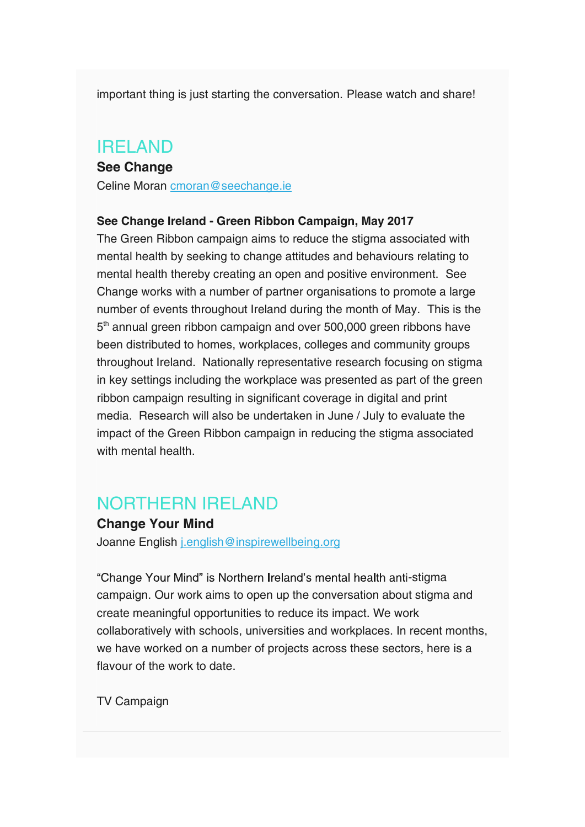important thing is just starting the conversation. Please watch and share!

## IRELAND

#### See Change Celine Moran cmoran@seechange.ie

See Change Ireland - Green Ribbon Campaign, May 2017

The Green Ribbon campaign aims to reduce the stigma associated with mental health by seeking to change attitudes and behaviours relating to mental health thereby creating an open and positive environment. See Change works with a number of partner organisations to promote a large number of events throughout Ireland during the month of May. This is the 5<sup>th</sup> annual green ribbon campaign and over 500,000 green ribbons have been distributed to homes, workplaces, colleges and community groups throughout Ireland. Nationally representative research focusing on stigma in key settings including the workplace was presented as part of the green ribbon campaign resulting in significant coverage in digital and print media. Research will also be undertaken in June / July to evaluate the impact of the Green Ribbon campaign in reducing the stigma associated with mental health.

# NORTHERN IRELAND

#### Change Your Mind

Joanne English j.english@inspirewellbeing.org

"Change Your Mind" is Northern Ireland's mental health anti-stigma campaign. Our work aims to open up the conversation about stigma and create meaningful opportunities to reduce its impact. We work collaboratively with schools, universities and workplaces. In recent months, we have worked on a number of projects across these sectors, here is a flavour of the work to date.

TV Campaign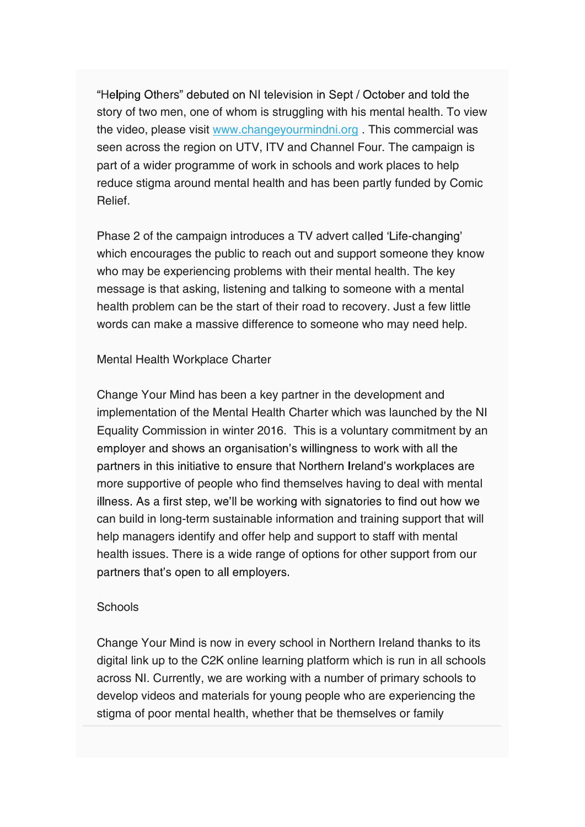"Helping Others" debuted on NI television in Sept / October and told the story of two men, one of whom is struggling with his mental health. To view the video, please visit www.changeyourmindni.org . This commercial was seen across the region on UTV, ITV and Channel Four. The campaign is part of a wider programme of work in schools and work places to help reduce stigma around mental health and has been partly funded by Comic Relief.

Phase 2 of the campaign introduces a TV advert called 'Life-changing' which encourages the public to reach out and support someone they know who may be experiencing problems with their mental health. The key message is that asking, listening and talking to someone with a mental health problem can be the start of their road to recovery. Just a few little words can make a massive difference to someone who may need help.

#### Mental Health Workplace Charter

Change Your Mind has been a key partner in the development and implementation of the Mental Health Charter which was launched by the NI Equality Commission in winter 2016. This is a voluntary commitment by an emplover and shows an organisation's willingness to work with all the partners in this initiative to ensure that Northern Ireland's workplaces are more supportive of people who find themselves having to deal with mental illness. As a first step, we'll be working with signatories to find out how we can build in long-term sustainable information and training support that will help managers identify and offer help and support to staff with mental health issues. There is a wide range of options for other support from our partners that's open to all employers.

#### **Schools**

Change Your Mind is now in every school in Northern Ireland thanks to its digital link up to the C2K online learning platform which is run in all schools across NI. Currently, we are working with a number of primary schools to develop videos and materials for young people who are experiencing the stigma of poor mental health, whether that be themselves or family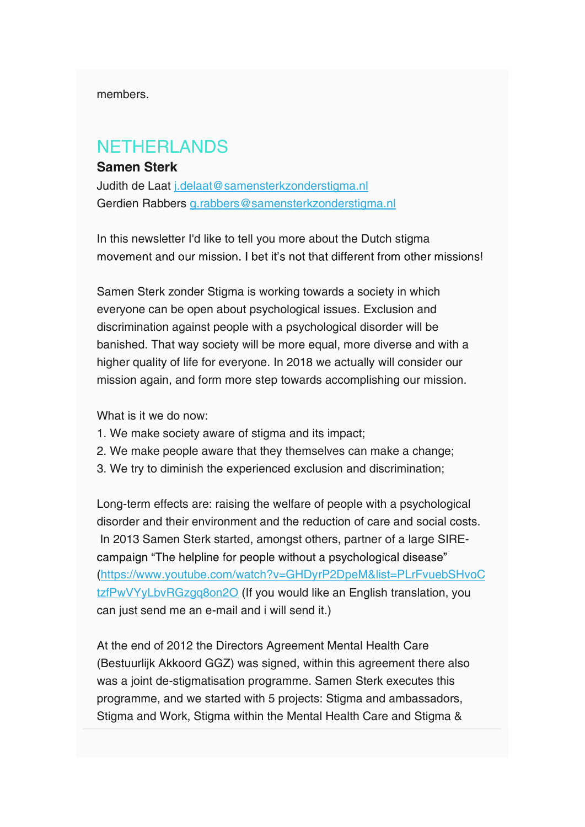members.

# NETHERLANDS

#### Samen Sterk

Judith de Laat j.delaat@samensterkzonderstigma.nl Gerdien Rabbers g.rabbers@samensterkzonderstigma.nl

In this newsletter I'd like to tell you more about the Dutch stigma movement and our mission. I bet it's not that different from other missions!

 Samen Sterk zonder Stigma is working towards a society in which everyone can be open about psychological issues. Exclusion and discrimination against people with a psychological disorder will be banished. That way society will be more equal, more diverse and with a higher quality of life for everyone. In 2018 we actually will consider our mission again, and form more step towards accomplishing our mission.

What is it we do now:

- 1. We make society aware of stigma and its impact;
- 2. We make people aware that they themselves can make a change;
- 3. We try to diminish the experienced exclusion and discrimination;

 Long-term effects are: raising the welfare of people with a psychological disorder and their environment and the reduction of care and social costs. In 2013 Samen Sterk started, amongst others, partner of a large SIRE campaign "The helpline for people without a psychological disease" (https://www.youtube.com/watch?v=GHDyrP2DpeM&list=PLrFvuebSHvoC tzfPwVYyLbvRGzgq8on2O (If you would like an English translation, you can just send me an e-mail and i will send it.)

 At the end of 2012 the Directors Agreement Mental Health Care (Bestuurlijk Akkoord GGZ) was signed, within this agreement there also was a joint de-stigmatisation programme. Samen Sterk executes this programme, and we started with 5 projects: Stigma and ambassadors, Stigma and Work, Stigma within the Mental Health Care and Stigma &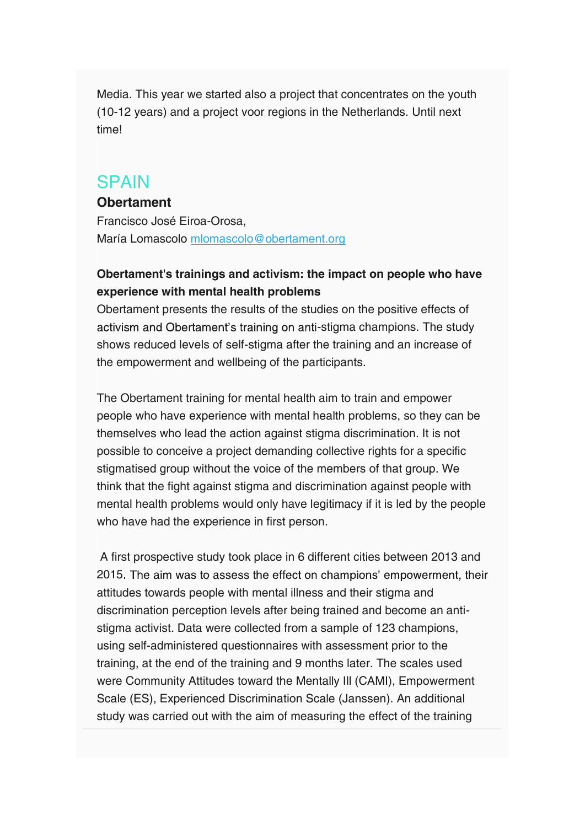Media. This year we started also a project that concentrates on the youth (10-12 years) and a project voor regions in the Netherlands. Until next time!

### SPAIN

#### **Obertament**

Francisco José Eiroa-Orosa, María Lomascolo mlomascolo@obertament.org

#### Obertament's trainings and activism: the impact on people who have experience with mental health problems

Obertament presents the results of the studies on the positive effects of activism and Obertament's training on anti-stigma champions. The study shows reduced levels of self-stigma after the training and an increase of the empowerment and wellbeing of the participants.

The Obertament training for mental health aim to train and empower people who have experience with mental health problems, so they can be themselves who lead the action against stigma discrimination. It is not possible to conceive a project demanding collective rights for a specific stigmatised group without the voice of the members of that group. We think that the fight against stigma and discrimination against people with mental health problems would only have legitimacy if it is led by the people who have had the experience in first person.

 A first prospective study took place in 6 different cities between 2013 and 2015. The aim was to assess the effect on champions' empowerment, their attitudes towards people with mental illness and their stigma and discrimination perception levels after being trained and become an antistigma activist. Data were collected from a sample of 123 champions, using self-administered questionnaires with assessment prior to the training, at the end of the training and 9 months later. The scales used were Community Attitudes toward the Mentally Ill (CAMI), Empowerment Scale (ES), Experienced Discrimination Scale (Janssen). An additional study was carried out with the aim of measuring the effect of the training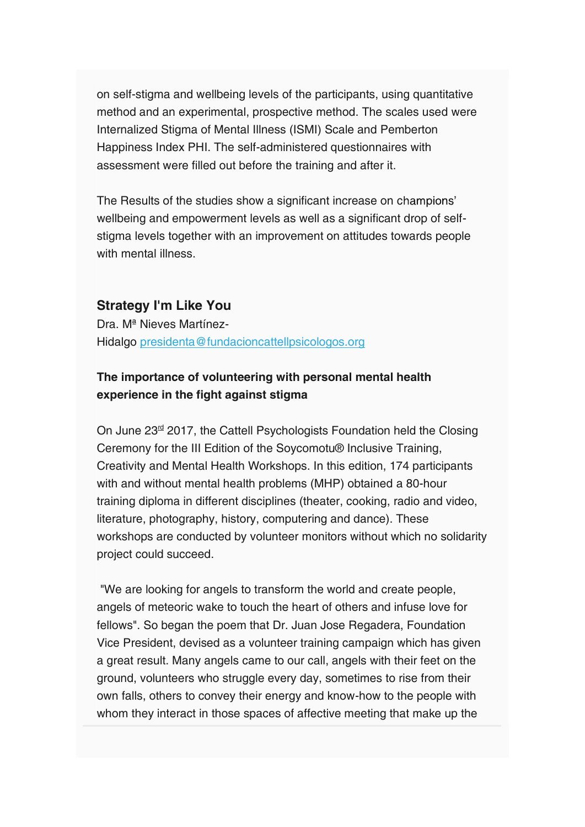on self-stigma and wellbeing levels of the participants, using quantitative method and an experimental, prospective method. The scales used were Internalized Stigma of Mental Illness (ISMI) Scale and Pemberton Happiness Index PHI. The self-administered questionnaires with assessment were filled out before the training and after it.

The Results of the studies show a significant increase on champions' wellbeing and empowerment levels as well as a significant drop of selfstigma levels together with an improvement on attitudes towards people with mental illness.

#### Strategy I'm Like You

Dra. Mª Nieves Martínez- Hidalgo presidenta@fundacioncattellpsicologos.org

#### The importance of volunteering with personal mental health experience in the fight against stigma

On June 23<sup>rd</sup> 2017, the Cattell Psychologists Foundation held the Closing Ceremony for the III Edition of the Soycomotu® Inclusive Training, Creativity and Mental Health Workshops. In this edition, 174 participants with and without mental health problems (MHP) obtained a 80-hour training diploma in different disciplines (theater, cooking, radio and video, literature, photography, history, computering and dance). These workshops are conducted by volunteer monitors without which no solidarity project could succeed.

 "We are looking for angels to transform the world and create people, angels of meteoric wake to touch the heart of others and infuse love for fellows". So began the poem that Dr. Juan Jose Regadera, Foundation Vice President, devised as a volunteer training campaign which has given a great result. Many angels came to our call, angels with their feet on the ground, volunteers who struggle every day, sometimes to rise from their own falls, others to convey their energy and know-how to the people with whom they interact in those spaces of affective meeting that make up the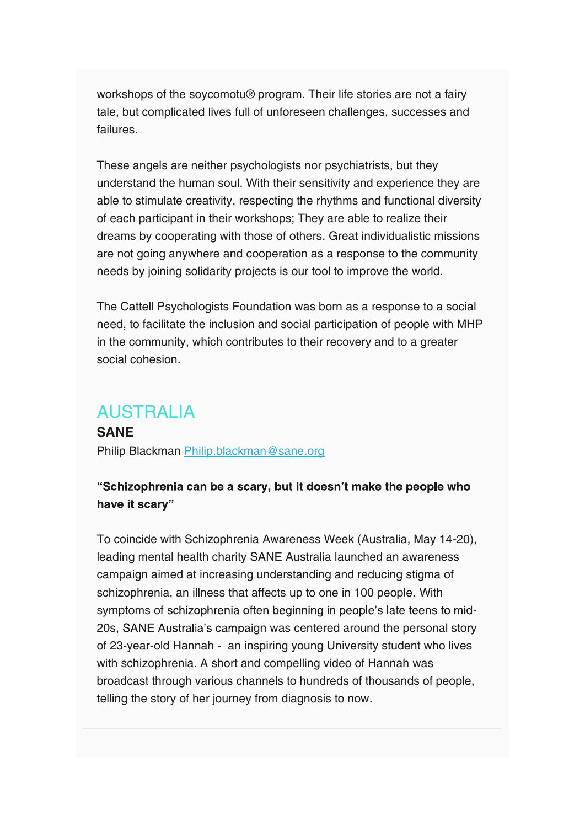workshops of the soycomotu® program. Their life stories are not a fairy tale, but complicated lives full of unforeseen challenges, successes and failures.

These angels are neither psychologists nor psychiatrists, but they understand the human soul. With their sensitivity and experience they are able to stimulate creativity, respecting the rhythms and functional diversity of each participant in their workshops; They are able to realize their dreams by cooperating with those of others. Great individualistic missions are not going anywhere and cooperation as a response to the community needs by joining solidarity projects is our tool to improve the world.

The Cattell Psychologists Foundation was born as a response to a social need, to facilitate the inclusion and social participation of people with MHP in the community, which contributes to their recovery and to a greater social cohesion.

### AUSTRALIA

**SANE** Philip Blackman Philip.blackman@sane.org

#### "Schizophrenia can be a scary, but it doesn't make the people who have it scary"

 To coincide with Schizophrenia Awareness Week (Australia, May 14-20), leading mental health charity SANE Australia launched an awareness campaign aimed at increasing understanding and reducing stigma of schizophrenia, an illness that affects up to one in 100 people. With symptoms of schizophrenia often beginning in people's late teens to mid-20s, SANE Australia's campaign was centered around the personal story of 23-year-old Hannah - an inspiring young University student who lives with schizophrenia. A short and compelling video of Hannah was broadcast through various channels to hundreds of thousands of people, telling the story of her journey from diagnosis to now.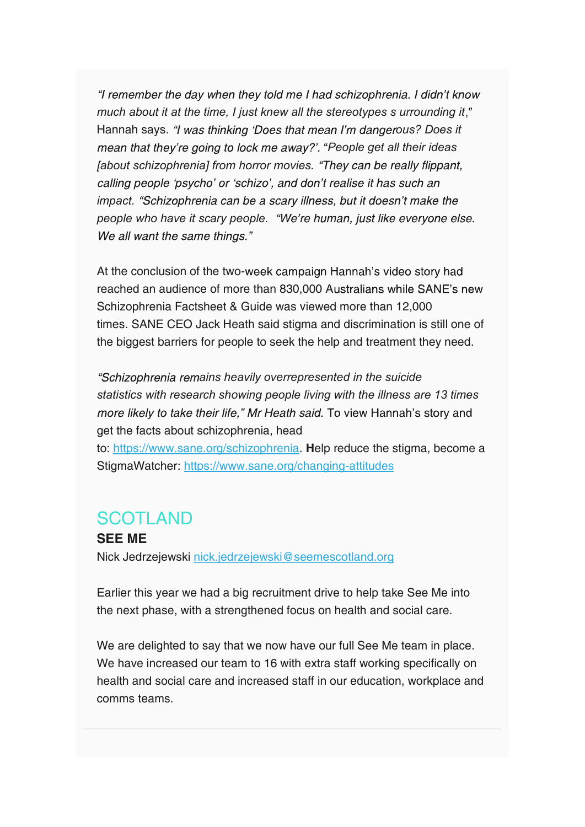"I remember the day when they told me I had schizophrenia. I didn't know much about it at the time, I just knew all the stereotypes s urrounding it," Hannah says. "I was thinking 'Does that mean I'm dangerous? Does it mean that they're going to lock me away?'. "People get all their ideas [about schizophrenia] from horror movies. "They can be really flippant, calling people 'psycho' or 'schizo', and don't realise it has such an impact. "Schizophrenia can be a scary illness, but it doesn't make the people who have it scary people. "We're human, just like everyone else. We all want the same things."

At the conclusion of the two-week campaign Hannah's video story had reached an audience of more than 830,000 Australians while SANE's new Schizophrenia Factsheet & Guide was viewed more than 12,000 times. SANE CEO Jack Heath said stigma and discrimination is still one of the biggest barriers for people to seek the help and treatment they need.

"Schizophrenia remains heavily overrepresented in the suicide statistics with research showing people living with the illness are 13 times more likely to take their life," Mr Heath said. To view Hannah's story and get the facts about schizophrenia, head

to: https://www.sane.org/schizophrenia. Help reduce the stigma, become a StigmaWatcher: https://www.sane.org/changing-attitudes

### SCOTLAND

SEE ME Nick Jedrzejewski nick.jedrzejewski@seemescotland.org

Earlier this year we had a big recruitment drive to help take See Me into the next phase, with a strengthened focus on health and social care.

We are delighted to say that we now have our full See Me team in place. We have increased our team to 16 with extra staff working specifically on health and social care and increased staff in our education, workplace and comms teams.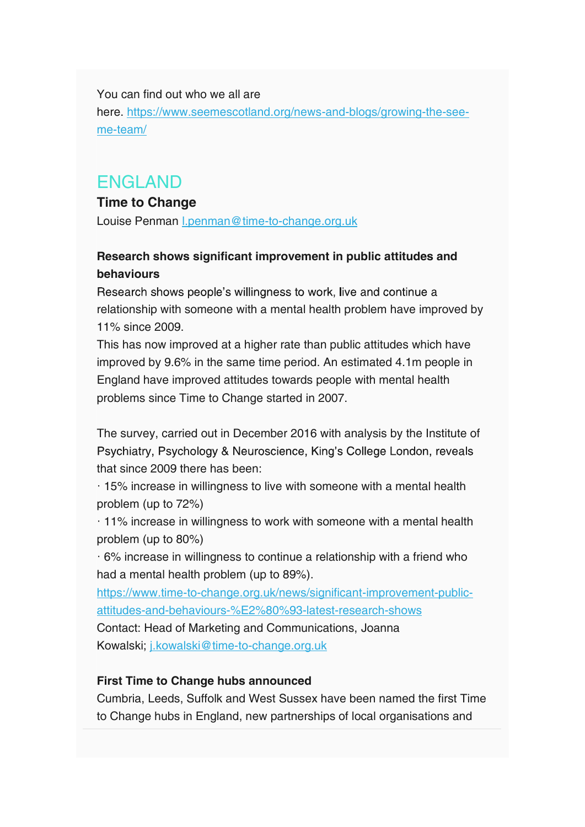You can find out who we all are

here. https://www.seemescotland.org/news-and-blogs/growing-the-seeme-team/

# ENGLAND

#### Time to Change

Louise Penman l.penman@time-to-change.org.uk

### Research shows significant improvement in public attitudes and behaviours

Research shows people's willingness to work, live and continue a relationship with someone with a mental health problem have improved by 11% since 2009.

This has now improved at a higher rate than public attitudes which have improved by 9.6% in the same time period. An estimated 4.1m people in England have improved attitudes towards people with mental health problems since Time to Change started in 2007.

The survey, carried out in December 2016 with analysis by the Institute of Psychiatry, Psychology & Neuroscience, King's College London, reveals that since 2009 there has been:

· 15% increase in willingness to live with someone with a mental health problem (up to 72%)

· 11% increase in willingness to work with someone with a mental health problem (up to 80%)

· 6% increase in willingness to continue a relationship with a friend who had a mental health problem (up to 89%).

https://www.time-to-change.org.uk/news/significant-improvement-publicattitudes-and-behaviours-%E2%80%93-latest-research-shows

Contact: Head of Marketing and Communications, Joanna Kowalski; j.kowalski@time-to-change.org.uk

#### First Time to Change hubs announced

Cumbria, Leeds, Suffolk and West Sussex have been named the first Time to Change hubs in England, new partnerships of local organisations and